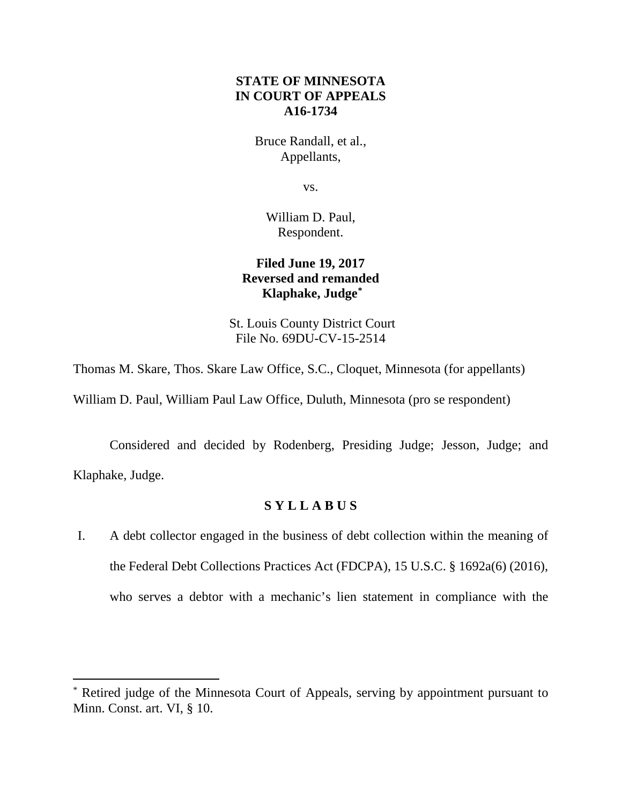## **STATE OF MINNESOTA IN COURT OF APPEALS A16-1734**

Bruce Randall, et al., Appellants,

vs.

William D. Paul, Respondent.

# **Filed June 19, 2017 Reversed and remanded Klaphake, Judge\***

St. Louis County District Court File No. 69DU-CV-15-2514

Thomas M. Skare, Thos. Skare Law Office, S.C., Cloquet, Minnesota (for appellants)

William D. Paul, William Paul Law Office, Duluth, Minnesota (pro se respondent)

Considered and decided by Rodenberg, Presiding Judge; Jesson, Judge; and Klaphake, Judge.

# **S Y L L A B U S**

I. A debt collector engaged in the business of debt collection within the meaning of the Federal Debt Collections Practices Act (FDCPA), 15 U.S.C. § 1692a(6) (2016), who serves a debtor with a mechanic's lien statement in compliance with the

 <sup>\*</sup> Retired judge of the Minnesota Court of Appeals, serving by appointment pursuant to Minn. Const. art. VI, § 10.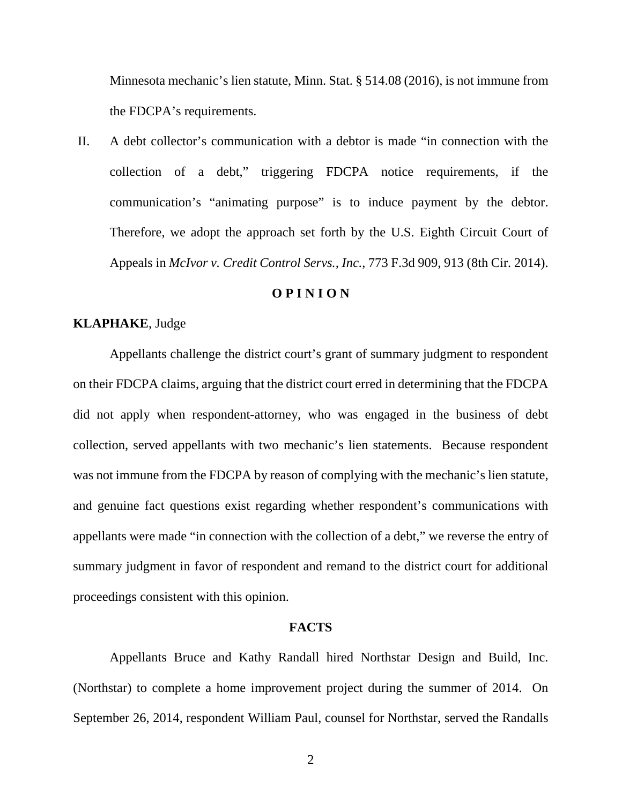Minnesota mechanic's lien statute, Minn. Stat. § 514.08 (2016), is not immune from the FDCPA's requirements.

II. A debt collector's communication with a debtor is made "in connection with the collection of a debt," triggering FDCPA notice requirements, if the communication's "animating purpose" is to induce payment by the debtor. Therefore, we adopt the approach set forth by the U.S. Eighth Circuit Court of Appeals in *McIvor v. Credit Control Servs., Inc.*, 773 F.3d 909, 913 (8th Cir. 2014).

#### **O P I N I O N**

## **KLAPHAKE**, Judge

Appellants challenge the district court's grant of summary judgment to respondent on their FDCPA claims, arguing that the district court erred in determining that the FDCPA did not apply when respondent-attorney, who was engaged in the business of debt collection, served appellants with two mechanic's lien statements. Because respondent was not immune from the FDCPA by reason of complying with the mechanic's lien statute, and genuine fact questions exist regarding whether respondent's communications with appellants were made "in connection with the collection of a debt," we reverse the entry of summary judgment in favor of respondent and remand to the district court for additional proceedings consistent with this opinion.

#### **FACTS**

Appellants Bruce and Kathy Randall hired Northstar Design and Build, Inc. (Northstar) to complete a home improvement project during the summer of 2014. On September 26, 2014, respondent William Paul, counsel for Northstar, served the Randalls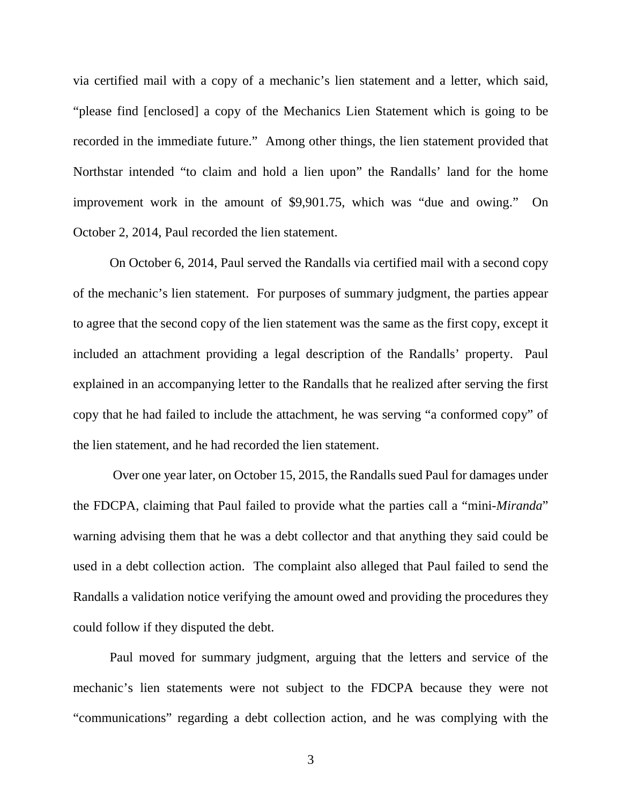via certified mail with a copy of a mechanic's lien statement and a letter, which said, "please find [enclosed] a copy of the Mechanics Lien Statement which is going to be recorded in the immediate future." Among other things, the lien statement provided that Northstar intended "to claim and hold a lien upon" the Randalls' land for the home improvement work in the amount of \$9,901.75, which was "due and owing." On October 2, 2014, Paul recorded the lien statement.

On October 6, 2014, Paul served the Randalls via certified mail with a second copy of the mechanic's lien statement. For purposes of summary judgment, the parties appear to agree that the second copy of the lien statement was the same as the first copy, except it included an attachment providing a legal description of the Randalls' property. Paul explained in an accompanying letter to the Randalls that he realized after serving the first copy that he had failed to include the attachment, he was serving "a conformed copy" of the lien statement, and he had recorded the lien statement.

Over one year later, on October 15, 2015, the Randalls sued Paul for damages under the FDCPA, claiming that Paul failed to provide what the parties call a "mini-*Miranda*" warning advising them that he was a debt collector and that anything they said could be used in a debt collection action. The complaint also alleged that Paul failed to send the Randalls a validation notice verifying the amount owed and providing the procedures they could follow if they disputed the debt.

Paul moved for summary judgment, arguing that the letters and service of the mechanic's lien statements were not subject to the FDCPA because they were not "communications" regarding a debt collection action, and he was complying with the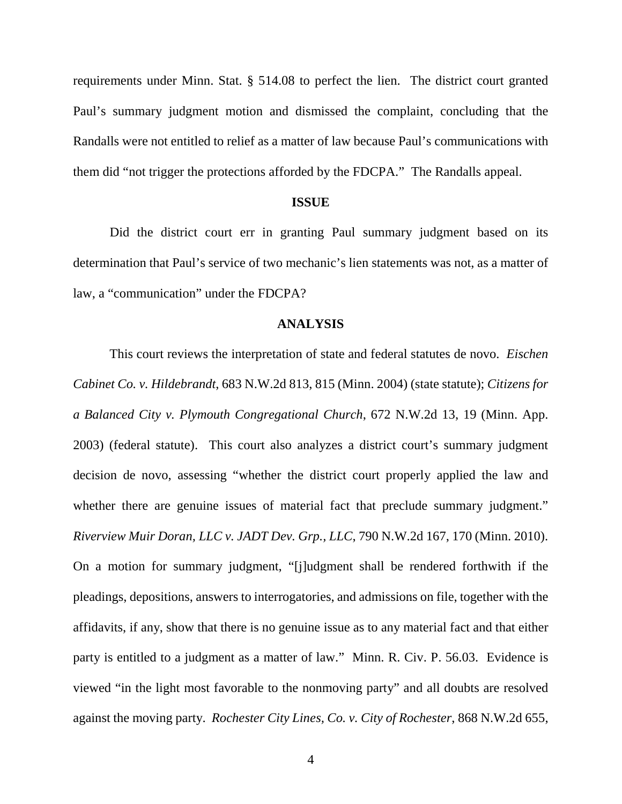requirements under Minn. Stat. § 514.08 to perfect the lien. The district court granted Paul's summary judgment motion and dismissed the complaint, concluding that the Randalls were not entitled to relief as a matter of law because Paul's communications with them did "not trigger the protections afforded by the FDCPA." The Randalls appeal.

#### **ISSUE**

Did the district court err in granting Paul summary judgment based on its determination that Paul's service of two mechanic's lien statements was not, as a matter of law, a "communication" under the FDCPA?

### **ANALYSIS**

This court reviews the interpretation of state and federal statutes de novo. *Eischen Cabinet Co. v. Hildebrandt*, 683 N.W.2d 813, 815 (Minn. 2004) (state statute); *Citizens for a Balanced City v. Plymouth Congregational Church*, 672 N.W.2d 13, 19 (Minn. App. 2003) (federal statute). This court also analyzes a district court's summary judgment decision de novo, assessing "whether the district court properly applied the law and whether there are genuine issues of material fact that preclude summary judgment." *Riverview Muir Doran, LLC v. JADT Dev. Grp., LLC*, 790 N.W.2d 167, 170 (Minn. 2010). On a motion for summary judgment, "[j]udgment shall be rendered forthwith if the pleadings, depositions, answers to interrogatories, and admissions on file, together with the affidavits, if any, show that there is no genuine issue as to any material fact and that either party is entitled to a judgment as a matter of law." Minn. R. Civ. P. 56.03. Evidence is viewed "in the light most favorable to the nonmoving party" and all doubts are resolved against the moving party. *Rochester City Lines, Co. v. City of Rochester*, 868 N.W.2d 655,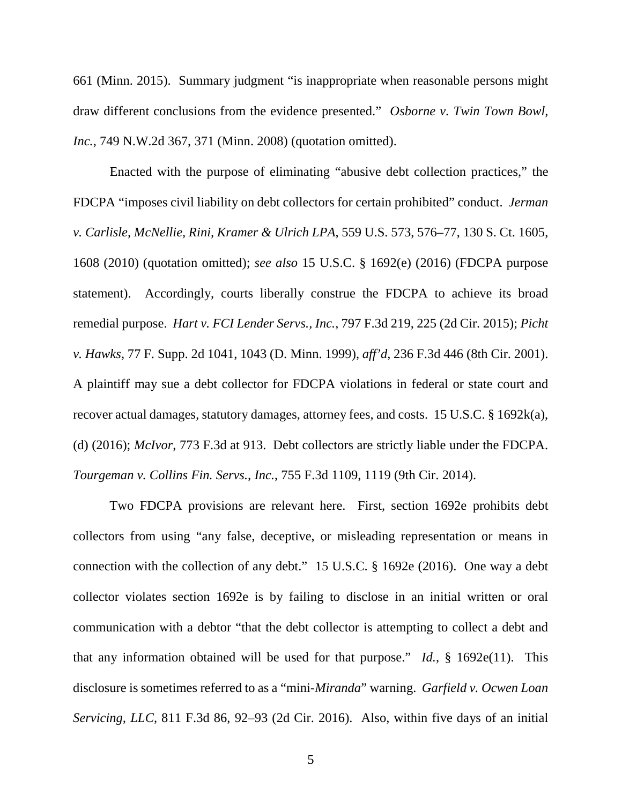661 (Minn. 2015). Summary judgment "is inappropriate when reasonable persons might draw different conclusions from the evidence presented." *Osborne v. Twin Town Bowl, Inc.*, 749 N.W.2d 367, 371 (Minn. 2008) (quotation omitted).

Enacted with the purpose of eliminating "abusive debt collection practices," the FDCPA "imposes civil liability on debt collectors for certain prohibited" conduct. *Jerman v. Carlisle, McNellie, Rini, Kramer & Ulrich LPA*, 559 U.S. 573, 576–77, 130 S. Ct. 1605, 1608 (2010) (quotation omitted); *see also* 15 U.S.C. § 1692(e) (2016) (FDCPA purpose statement). Accordingly, courts liberally construe the FDCPA to achieve its broad remedial purpose. *Hart v. FCI Lender Servs., Inc.*, 797 F.3d 219, 225 (2d Cir. 2015); *Picht v. Hawks*, 77 F. Supp. 2d 1041, 1043 (D. Minn. 1999), *aff'd*, 236 F.3d 446 (8th Cir. 2001). A plaintiff may sue a debt collector for FDCPA violations in federal or state court and recover actual damages, statutory damages, attorney fees, and costs. 15 U.S.C. § 1692k(a), (d) (2016); *McIvor*, 773 F.3d at 913. Debt collectors are strictly liable under the FDCPA. *Tourgeman v. Collins Fin. Servs., Inc.*, 755 F.3d 1109, 1119 (9th Cir. 2014).

Two FDCPA provisions are relevant here. First, section 1692e prohibits debt collectors from using "any false, deceptive, or misleading representation or means in connection with the collection of any debt." 15 U.S.C. § 1692e (2016). One way a debt collector violates section 1692e is by failing to disclose in an initial written or oral communication with a debtor "that the debt collector is attempting to collect a debt and that any information obtained will be used for that purpose." *Id.*, § 1692e(11). This disclosure is sometimes referred to as a "mini-*Miranda*" warning. *Garfield v. Ocwen Loan Servicing, LLC*, 811 F.3d 86, 92–93 (2d Cir. 2016). Also, within five days of an initial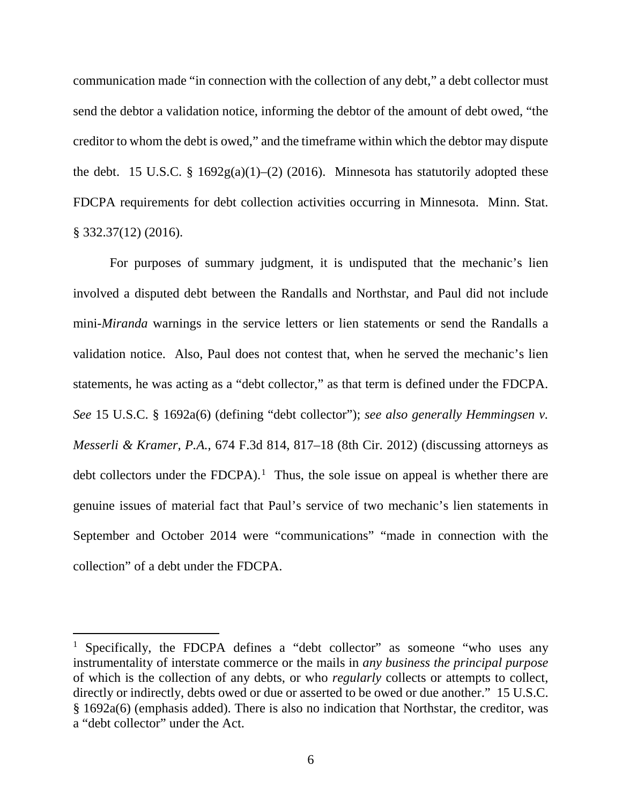communication made "in connection with the collection of any debt," a debt collector must send the debtor a validation notice, informing the debtor of the amount of debt owed, "the creditor to whom the debt is owed," and the timeframe within which the debtor may dispute the debt. 15 U.S.C. § 1692g(a)(1)–(2) (2016). Minnesota has statutorily adopted these FDCPA requirements for debt collection activities occurring in Minnesota. Minn. Stat. § 332.37(12) (2016).

For purposes of summary judgment, it is undisputed that the mechanic's lien involved a disputed debt between the Randalls and Northstar, and Paul did not include mini-*Miranda* warnings in the service letters or lien statements or send the Randalls a validation notice. Also, Paul does not contest that, when he served the mechanic's lien statements, he was acting as a "debt collector," as that term is defined under the FDCPA. *See* 15 U.S.C. § 1692a(6) (defining "debt collector"); *see also generally Hemmingsen v. Messerli & Kramer, P.A.*, 674 F.3d 814, 817–18 (8th Cir. 2012) (discussing attorneys as debt collectors under the FDCPA).<sup>1</sup> Thus, the sole issue on appeal is whether there are genuine issues of material fact that Paul's service of two mechanic's lien statements in September and October 2014 were "communications" "made in connection with the collection" of a debt under the FDCPA.

<sup>&</sup>lt;sup>1</sup> Specifically, the FDCPA defines a "debt collector" as someone "who uses any instrumentality of interstate commerce or the mails in *any business the principal purpose* of which is the collection of any debts, or who *regularly* collects or attempts to collect, directly or indirectly, debts owed or due or asserted to be owed or due another." 15 U.S.C. § 1692a(6) (emphasis added). There is also no indication that Northstar, the creditor, was a "debt collector" under the Act.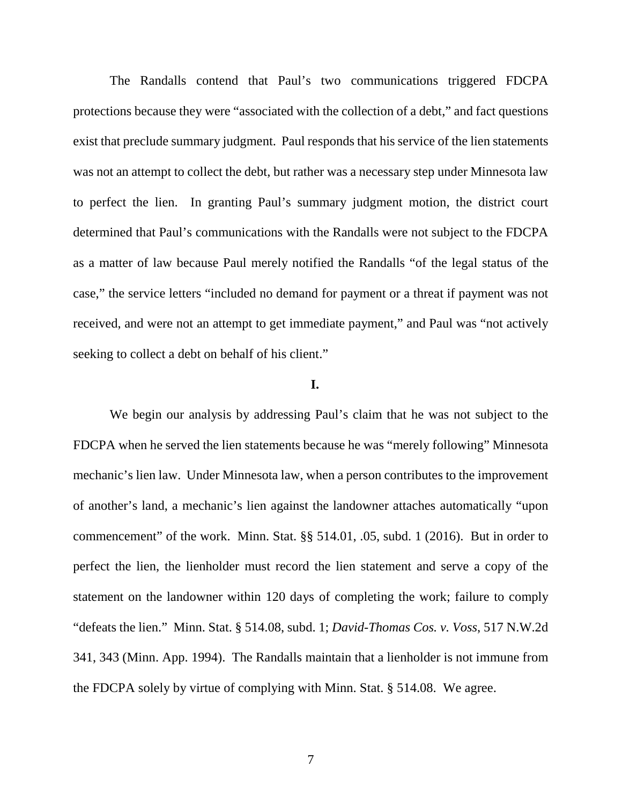The Randalls contend that Paul's two communications triggered FDCPA protections because they were "associated with the collection of a debt," and fact questions exist that preclude summary judgment. Paul responds that his service of the lien statements was not an attempt to collect the debt, but rather was a necessary step under Minnesota law to perfect the lien. In granting Paul's summary judgment motion, the district court determined that Paul's communications with the Randalls were not subject to the FDCPA as a matter of law because Paul merely notified the Randalls "of the legal status of the case," the service letters "included no demand for payment or a threat if payment was not received, and were not an attempt to get immediate payment," and Paul was "not actively seeking to collect a debt on behalf of his client."

### **I.**

We begin our analysis by addressing Paul's claim that he was not subject to the FDCPA when he served the lien statements because he was "merely following" Minnesota mechanic's lien law. Under Minnesota law, when a person contributes to the improvement of another's land, a mechanic's lien against the landowner attaches automatically "upon commencement" of the work. Minn. Stat. §§ 514.01, .05, subd. 1 (2016). But in order to perfect the lien, the lienholder must record the lien statement and serve a copy of the statement on the landowner within 120 days of completing the work; failure to comply "defeats the lien." Minn. Stat. § 514.08, subd. 1; *David-Thomas Cos. v. Voss*, 517 N.W.2d 341, 343 (Minn. App. 1994). The Randalls maintain that a lienholder is not immune from the FDCPA solely by virtue of complying with Minn. Stat. § 514.08. We agree.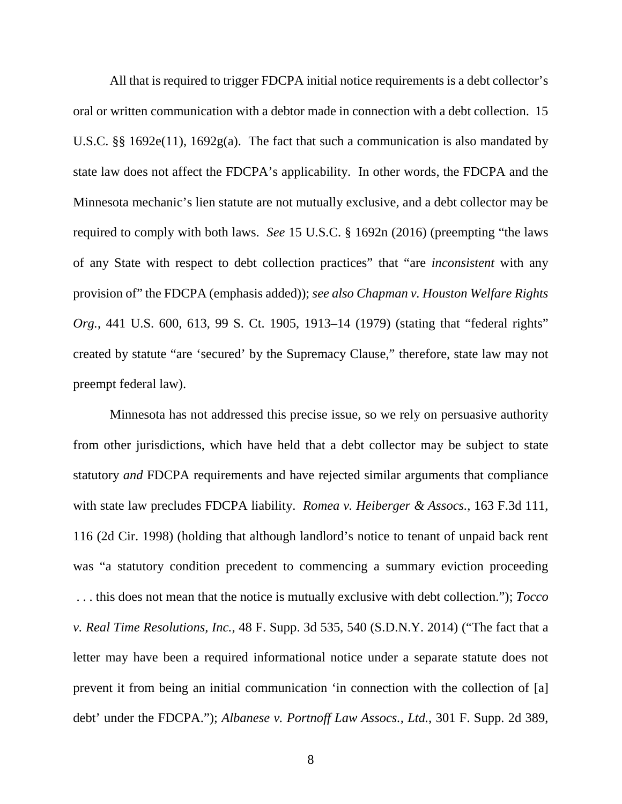All that is required to trigger FDCPA initial notice requirements is a debt collector's oral or written communication with a debtor made in connection with a debt collection. 15 U.S.C. §§ 1692e(11), 1692g(a). The fact that such a communication is also mandated by state law does not affect the FDCPA's applicability. In other words, the FDCPA and the Minnesota mechanic's lien statute are not mutually exclusive, and a debt collector may be required to comply with both laws. *See* 15 U.S.C. § 1692n (2016) (preempting "the laws of any State with respect to debt collection practices" that "are *inconsistent* with any provision of" the FDCPA (emphasis added)); *see also Chapman v. Houston Welfare Rights Org.*, 441 U.S. 600, 613, 99 S. Ct. 1905, 1913–14 (1979) (stating that "federal rights" created by statute "are 'secured' by the Supremacy Clause," therefore, state law may not preempt federal law).

Minnesota has not addressed this precise issue, so we rely on persuasive authority from other jurisdictions, which have held that a debt collector may be subject to state statutory *and* FDCPA requirements and have rejected similar arguments that compliance with state law precludes FDCPA liability. *Romea v. Heiberger & Assocs.*, 163 F.3d 111, 116 (2d Cir. 1998) (holding that although landlord's notice to tenant of unpaid back rent was "a statutory condition precedent to commencing a summary eviction proceeding . . . this does not mean that the notice is mutually exclusive with debt collection."); *Tocco v. Real Time Resolutions, Inc.*, 48 F. Supp. 3d 535, 540 (S.D.N.Y. 2014) ("The fact that a letter may have been a required informational notice under a separate statute does not prevent it from being an initial communication 'in connection with the collection of [a] debt' under the FDCPA."); *Albanese v. Portnoff Law Assocs., Ltd.*, 301 F. Supp. 2d 389,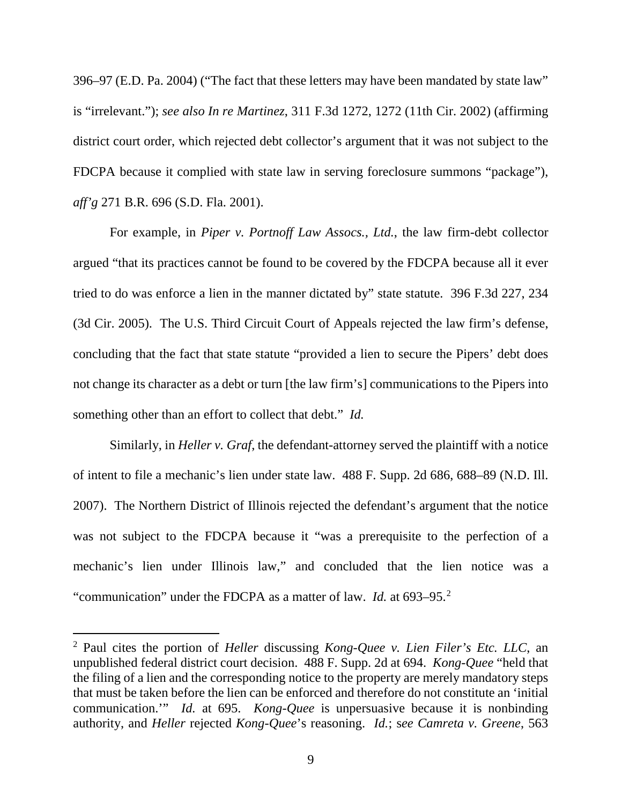396–97 (E.D. Pa. 2004) ("The fact that these letters may have been mandated by state law" is "irrelevant."); *see also In re Martinez*, 311 F.3d 1272, 1272 (11th Cir. 2002) (affirming district court order, which rejected debt collector's argument that it was not subject to the FDCPA because it complied with state law in serving foreclosure summons "package"), *aff'g* 271 B.R. 696 (S.D. Fla. 2001).

For example, in *Piper v. Portnoff Law Assocs., Ltd.*, the law firm-debt collector argued "that its practices cannot be found to be covered by the FDCPA because all it ever tried to do was enforce a lien in the manner dictated by" state statute. 396 F.3d 227, 234 (3d Cir. 2005). The U.S. Third Circuit Court of Appeals rejected the law firm's defense, concluding that the fact that state statute "provided a lien to secure the Pipers' debt does not change its character as a debt or turn [the law firm's] communications to the Pipers into something other than an effort to collect that debt." *Id.* 

Similarly, in *Heller v. Graf*, the defendant-attorney served the plaintiff with a notice of intent to file a mechanic's lien under state law. 488 F. Supp. 2d 686, 688–89 (N.D. Ill. 2007). The Northern District of Illinois rejected the defendant's argument that the notice was not subject to the FDCPA because it "was a prerequisite to the perfection of a mechanic's lien under Illinois law," and concluded that the lien notice was a "communication" under the FDCPA as a matter of law. *Id.* at 693–95.<sup>2</sup>

 <sup>2</sup> Paul cites the portion of *Heller* discussing *Kong-Quee v. Lien Filer's Etc. LLC*, an unpublished federal district court decision. 488 F. Supp. 2d at 694. *Kong-Quee* "held that the filing of a lien and the corresponding notice to the property are merely mandatory steps that must be taken before the lien can be enforced and therefore do not constitute an 'initial communication.'" *Id.* at 695. *Kong-Quee* is unpersuasive because it is nonbinding authority, and *Heller* rejected *Kong-Quee*'s reasoning. *Id.*; s*ee Camreta v. Greene*, 563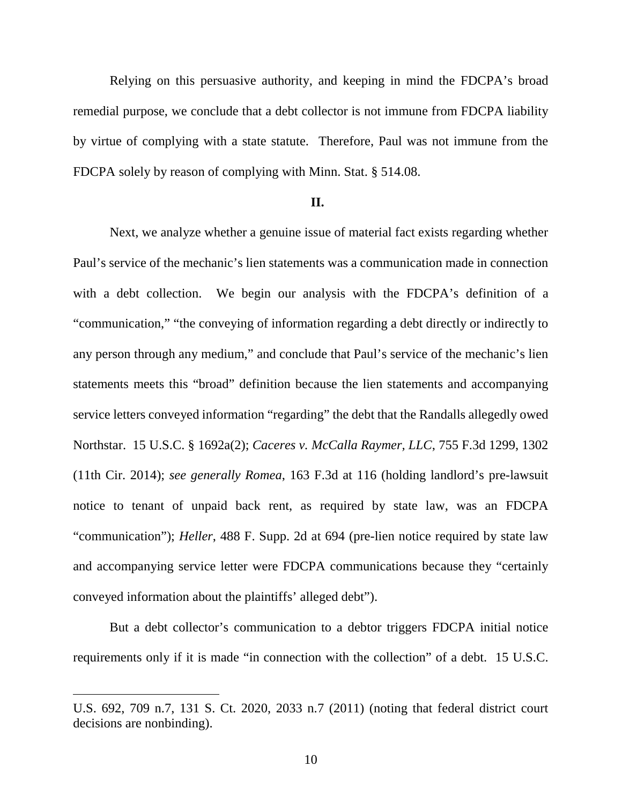Relying on this persuasive authority, and keeping in mind the FDCPA's broad remedial purpose, we conclude that a debt collector is not immune from FDCPA liability by virtue of complying with a state statute. Therefore, Paul was not immune from the FDCPA solely by reason of complying with Minn. Stat. § 514.08.

## **II.**

Next, we analyze whether a genuine issue of material fact exists regarding whether Paul's service of the mechanic's lien statements was a communication made in connection with a debt collection. We begin our analysis with the FDCPA's definition of a "communication," "the conveying of information regarding a debt directly or indirectly to any person through any medium," and conclude that Paul's service of the mechanic's lien statements meets this "broad" definition because the lien statements and accompanying service letters conveyed information "regarding" the debt that the Randalls allegedly owed Northstar. 15 U.S.C. § 1692a(2); *Caceres v. McCalla Raymer, LLC*, 755 F.3d 1299, 1302 (11th Cir. 2014); *see generally Romea*, 163 F.3d at 116 (holding landlord's pre-lawsuit notice to tenant of unpaid back rent, as required by state law, was an FDCPA "communication"); *Heller*, 488 F. Supp. 2d at 694 (pre-lien notice required by state law and accompanying service letter were FDCPA communications because they "certainly conveyed information about the plaintiffs' alleged debt").

But a debt collector's communication to a debtor triggers FDCPA initial notice requirements only if it is made "in connection with the collection" of a debt. 15 U.S.C.

 $\overline{a}$ 

U.S. 692, 709 n.7, 131 S. Ct. 2020, 2033 n.7 (2011) (noting that federal district court decisions are nonbinding).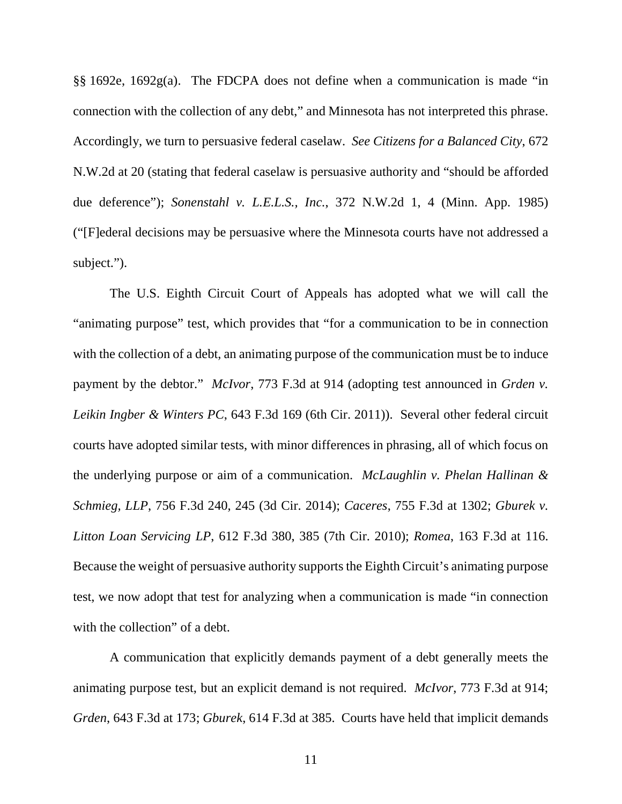§§ 1692e, 1692g(a). The FDCPA does not define when a communication is made "in connection with the collection of any debt," and Minnesota has not interpreted this phrase. Accordingly, we turn to persuasive federal caselaw. *See Citizens for a Balanced City*, 672 N.W.2d at 20 (stating that federal caselaw is persuasive authority and "should be afforded due deference"); *Sonenstahl v. L.E.L.S., Inc.*, 372 N.W.2d 1, 4 (Minn. App. 1985) ("[F]ederal decisions may be persuasive where the Minnesota courts have not addressed a subject.").

The U.S. Eighth Circuit Court of Appeals has adopted what we will call the "animating purpose" test, which provides that "for a communication to be in connection with the collection of a debt, an animating purpose of the communication must be to induce payment by the debtor." *McIvor*, 773 F.3d at 914 (adopting test announced in *Grden v. Leikin Ingber & Winters PC*, 643 F.3d 169 (6th Cir. 2011)). Several other federal circuit courts have adopted similar tests, with minor differences in phrasing, all of which focus on the underlying purpose or aim of a communication. *McLaughlin v. Phelan Hallinan & Schmieg, LLP*, 756 F.3d 240, 245 (3d Cir. 2014); *Caceres*, 755 F.3d at 1302; *Gburek v. Litton Loan Servicing LP*, 612 F.3d 380, 385 (7th Cir. 2010); *Romea*, 163 F.3d at 116. Because the weight of persuasive authority supports the Eighth Circuit's animating purpose test, we now adopt that test for analyzing when a communication is made "in connection with the collection" of a debt.

A communication that explicitly demands payment of a debt generally meets the animating purpose test, but an explicit demand is not required. *McIvor*, 773 F.3d at 914; *Grden*, 643 F.3d at 173; *Gburek*, 614 F.3d at 385. Courts have held that implicit demands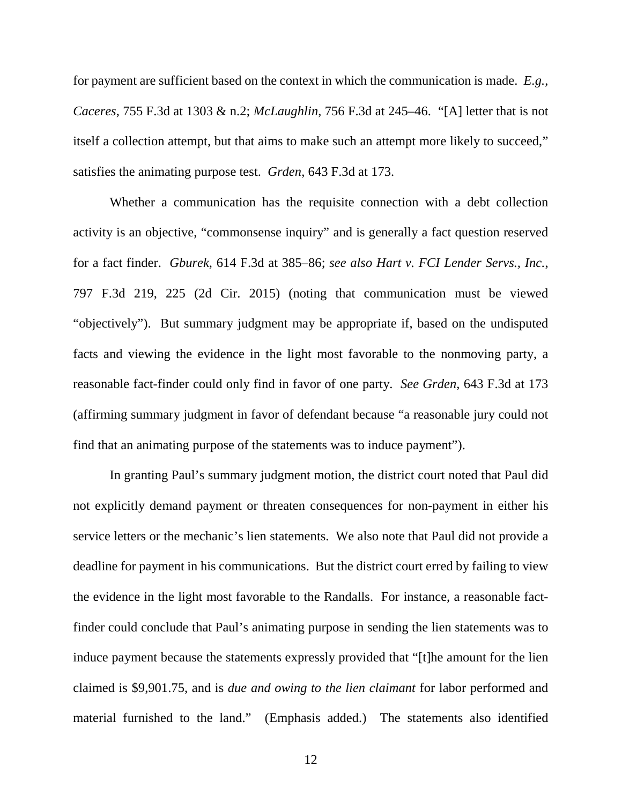for payment are sufficient based on the context in which the communication is made. *E.g.*, *Caceres*, 755 F.3d at 1303 & n.2; *McLaughlin*, 756 F.3d at 245–46. "[A] letter that is not itself a collection attempt, but that aims to make such an attempt more likely to succeed," satisfies the animating purpose test. *Grden*, 643 F.3d at 173.

Whether a communication has the requisite connection with a debt collection activity is an objective, "commonsense inquiry" and is generally a fact question reserved for a fact finder. *Gburek*, 614 F.3d at 385–86; *see also Hart v. FCI Lender Servs., Inc.*, 797 F.3d 219, 225 (2d Cir. 2015) (noting that communication must be viewed "objectively"). But summary judgment may be appropriate if, based on the undisputed facts and viewing the evidence in the light most favorable to the nonmoving party, a reasonable fact-finder could only find in favor of one party. *See Grden*, 643 F.3d at 173 (affirming summary judgment in favor of defendant because "a reasonable jury could not find that an animating purpose of the statements was to induce payment").

In granting Paul's summary judgment motion, the district court noted that Paul did not explicitly demand payment or threaten consequences for non-payment in either his service letters or the mechanic's lien statements. We also note that Paul did not provide a deadline for payment in his communications. But the district court erred by failing to view the evidence in the light most favorable to the Randalls. For instance, a reasonable factfinder could conclude that Paul's animating purpose in sending the lien statements was to induce payment because the statements expressly provided that "[t]he amount for the lien claimed is \$9,901.75, and is *due and owing to the lien claimant* for labor performed and material furnished to the land." (Emphasis added.) The statements also identified